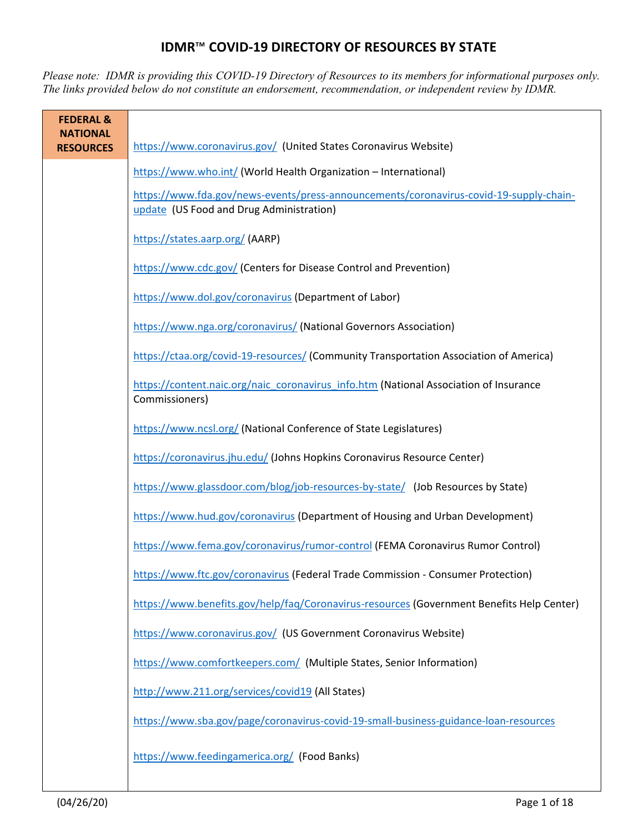## **IDMR**™ **COVID-19 DIRECTORY OF RESOURCES BY STATE**

*Please note: IDMR is providing this COVID-19 Directory of Resources to its members for informational purposes only. The links provided below do not constitute an endorsement, recommendation, or independent review by IDMR.* 

| <b>FEDERAL &amp;</b><br><b>NATIONAL</b> |                                                                                                                                    |
|-----------------------------------------|------------------------------------------------------------------------------------------------------------------------------------|
| <b>RESOURCES</b>                        | https://www.coronavirus.gov/ (United States Coronavirus Website)                                                                   |
|                                         | https://www.who.int/ (World Health Organization - International)                                                                   |
|                                         | https://www.fda.gov/news-events/press-announcements/coronavirus-covid-19-supply-chain-<br>update (US Food and Drug Administration) |
|                                         | https://states.aarp.org/(AARP)                                                                                                     |
|                                         | https://www.cdc.gov/ (Centers for Disease Control and Prevention)                                                                  |
|                                         | https://www.dol.gov/coronavirus (Department of Labor)                                                                              |
|                                         | https://www.nga.org/coronavirus/ (National Governors Association)                                                                  |
|                                         | https://ctaa.org/covid-19-resources/ (Community Transportation Association of America)                                             |
|                                         | https://content.naic.org/naic_coronavirus_info.htm (National Association of Insurance<br>Commissioners)                            |
|                                         | https://www.ncsl.org/ (National Conference of State Legislatures)                                                                  |
|                                         | https://coronavirus.jhu.edu/ (Johns Hopkins Coronavirus Resource Center)                                                           |
|                                         | https://www.glassdoor.com/blog/job-resources-by-state/ (Job Resources by State)                                                    |
|                                         | https://www.hud.gov/coronavirus (Department of Housing and Urban Development)                                                      |
|                                         | https://www.fema.gov/coronavirus/rumor-control (FEMA Coronavirus Rumor Control)                                                    |
|                                         | https://www.ftc.gov/coronavirus (Federal Trade Commission - Consumer Protection)                                                   |
|                                         | https://www.benefits.gov/help/faq/Coronavirus-resources (Government Benefits Help Center)                                          |
|                                         | https://www.coronavirus.gov/ (US Government Coronavirus Website)                                                                   |
|                                         | https://www.comfortkeepers.com/ (Multiple States, Senior Information)                                                              |
|                                         | http://www.211.org/services/covid19 (All States)                                                                                   |
|                                         | https://www.sba.gov/page/coronavirus-covid-19-small-business-guidance-loan-resources                                               |
|                                         | https://www.feedingamerica.org/ (Food Banks)                                                                                       |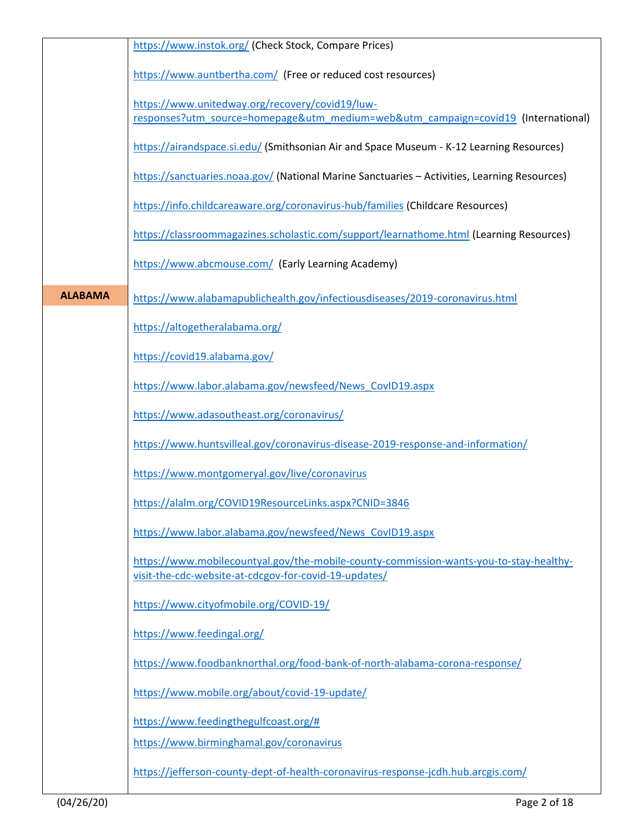|                | https://www.instok.org/ (Check Stock, Compare Prices)                                                                                           |
|----------------|-------------------------------------------------------------------------------------------------------------------------------------------------|
|                | https://www.auntbertha.com/ (Free or reduced cost resources)                                                                                    |
|                | https://www.unitedway.org/recovery/covid19/luw-<br>responses?utm_source=homepage&utm_medium=web&utm_campaign=covid19_(International)            |
|                |                                                                                                                                                 |
|                | https://airandspace.si.edu/ (Smithsonian Air and Space Museum - K-12 Learning Resources)                                                        |
|                | https://sanctuaries.noaa.gov/ (National Marine Sanctuaries - Activities, Learning Resources)                                                    |
|                | https://info.childcareaware.org/coronavirus-hub/families (Childcare Resources)                                                                  |
|                | https://classroommagazines.scholastic.com/support/learnathome.html (Learning Resources)                                                         |
|                | https://www.abcmouse.com/ (Early Learning Academy)                                                                                              |
| <b>ALABAMA</b> | https://www.alabamapublichealth.gov/infectiousdiseases/2019-coronavirus.html                                                                    |
|                | https://altogetheralabama.org/                                                                                                                  |
|                | https://covid19.alabama.gov/                                                                                                                    |
|                | https://www.labor.alabama.gov/newsfeed/News CovID19.aspx                                                                                        |
|                | https://www.adasoutheast.org/coronavirus/                                                                                                       |
|                | https://www.huntsvilleal.gov/coronavirus-disease-2019-response-and-information/                                                                 |
|                | https://www.montgomeryal.gov/live/coronavirus                                                                                                   |
|                | https://alalm.org/COVID19ResourceLinks.aspx?CNID=3846                                                                                           |
|                | https://www.labor.alabama.gov/newsfeed/News CovID19.aspx                                                                                        |
|                | https://www.mobilecountyal.gov/the-mobile-county-commission-wants-you-to-stay-healthy-<br>visit-the-cdc-website-at-cdcgov-for-covid-19-updates/ |
|                | https://www.cityofmobile.org/COVID-19/                                                                                                          |
|                | https://www.feedingal.org/                                                                                                                      |
|                | https://www.foodbanknorthal.org/food-bank-of-north-alabama-corona-response/                                                                     |
|                | https://www.mobile.org/about/covid-19-update/                                                                                                   |
|                | https://www.feedingthegulfcoast.org/#                                                                                                           |
|                | https://www.birminghamal.gov/coronavirus                                                                                                        |
|                | https://jefferson-county-dept-of-health-coronavirus-response-jcdh.hub.arcgis.com/                                                               |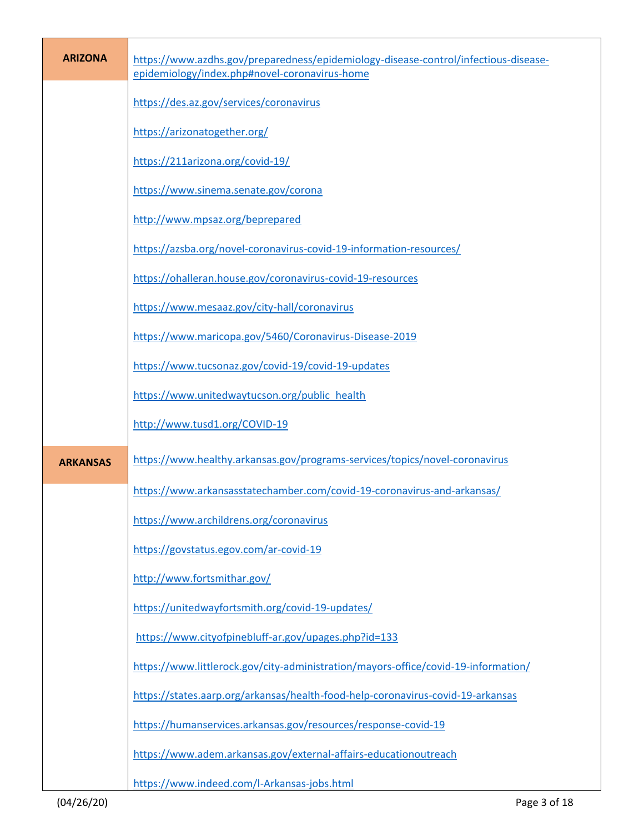| <b>ARIZONA</b>  | https://www.azdhs.gov/preparedness/epidemiology-disease-control/infectious-disease-<br>epidemiology/index.php#novel-coronavirus-home |
|-----------------|--------------------------------------------------------------------------------------------------------------------------------------|
|                 | https://des.az.gov/services/coronavirus                                                                                              |
|                 | https://arizonatogether.org/                                                                                                         |
|                 | https://211arizona.org/covid-19/                                                                                                     |
|                 | https://www.sinema.senate.gov/corona                                                                                                 |
|                 | http://www.mpsaz.org/beprepared                                                                                                      |
|                 | https://azsba.org/novel-coronavirus-covid-19-information-resources/                                                                  |
|                 | https://ohalleran.house.gov/coronavirus-covid-19-resources                                                                           |
|                 | https://www.mesaaz.gov/city-hall/coronavirus                                                                                         |
|                 | https://www.maricopa.gov/5460/Coronavirus-Disease-2019                                                                               |
|                 | https://www.tucsonaz.gov/covid-19/covid-19-updates                                                                                   |
|                 | https://www.unitedwaytucson.org/public_health                                                                                        |
|                 | http://www.tusd1.org/COVID-19                                                                                                        |
| <b>ARKANSAS</b> | https://www.healthy.arkansas.gov/programs-services/topics/novel-coronavirus                                                          |
|                 | https://www.arkansasstatechamber.com/covid-19-coronavirus-and-arkansas/                                                              |
|                 | https://www.archildrens.org/coronavirus                                                                                              |
|                 | https://govstatus.egov.com/ar-covid-19                                                                                               |
|                 | http://www.fortsmithar.gov/                                                                                                          |
|                 | https://unitedwayfortsmith.org/covid-19-updates/                                                                                     |
|                 | https://www.cityofpinebluff-ar.gov/upages.php?id=133                                                                                 |
|                 | https://www.littlerock.gov/city-administration/mayors-office/covid-19-information/                                                   |
|                 | https://states.aarp.org/arkansas/health-food-help-coronavirus-covid-19-arkansas                                                      |
|                 | https://humanservices.arkansas.gov/resources/response-covid-19                                                                       |
|                 | https://www.adem.arkansas.gov/external-affairs-educationoutreach                                                                     |
|                 | https://www.indeed.com/l-Arkansas-jobs.html                                                                                          |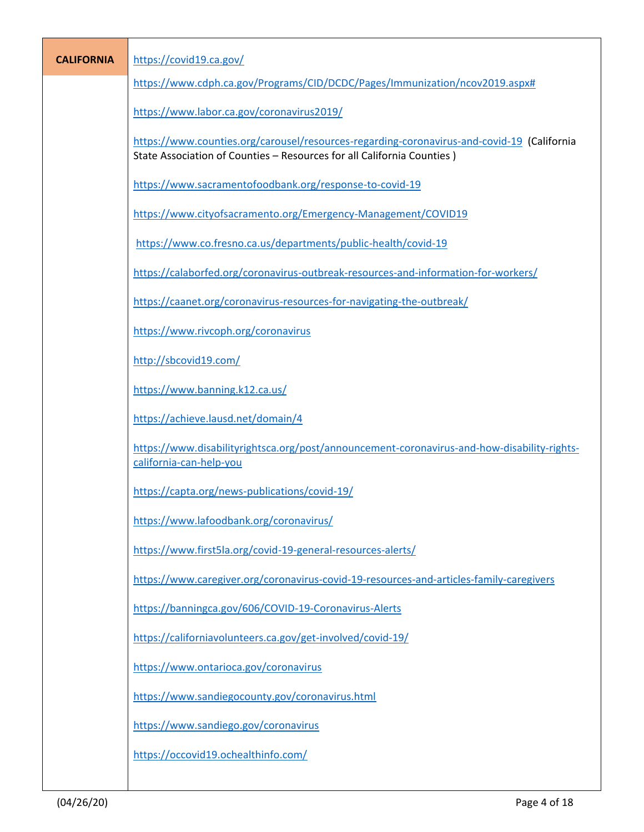| <b>CALIFORNIA</b> | https://covid19.ca.gov/                                                                                                                                              |
|-------------------|----------------------------------------------------------------------------------------------------------------------------------------------------------------------|
|                   | https://www.cdph.ca.gov/Programs/CID/DCDC/Pages/Immunization/ncov2019.aspx#                                                                                          |
|                   | https://www.labor.ca.gov/coronavirus2019/                                                                                                                            |
|                   | https://www.counties.org/carousel/resources-regarding-coronavirus-and-covid-19 (California<br>State Association of Counties - Resources for all California Counties) |
|                   | https://www.sacramentofoodbank.org/response-to-covid-19                                                                                                              |
|                   | https://www.cityofsacramento.org/Emergency-Management/COVID19                                                                                                        |
|                   | https://www.co.fresno.ca.us/departments/public-health/covid-19                                                                                                       |
|                   | https://calaborfed.org/coronavirus-outbreak-resources-and-information-for-workers/                                                                                   |
|                   | https://caanet.org/coronavirus-resources-for-navigating-the-outbreak/                                                                                                |
|                   | https://www.rivcoph.org/coronavirus                                                                                                                                  |
|                   | http://sbcovid19.com/                                                                                                                                                |
|                   | https://www.banning.k12.ca.us/                                                                                                                                       |
|                   | https://achieve.lausd.net/domain/4                                                                                                                                   |
|                   | https://www.disabilityrightsca.org/post/announcement-coronavirus-and-how-disability-rights-<br>california-can-help-you                                               |
|                   | https://capta.org/news-publications/covid-19/                                                                                                                        |
|                   | https://www.lafoodbank.org/coronavirus/                                                                                                                              |
|                   | https://www.first5la.org/covid-19-general-resources-alerts/                                                                                                          |
|                   | https://www.caregiver.org/coronavirus-covid-19-resources-and-articles-family-caregivers                                                                              |
|                   | https://banningca.gov/606/COVID-19-Coronavirus-Alerts                                                                                                                |
|                   | https://californiavolunteers.ca.gov/get-involved/covid-19/                                                                                                           |
|                   | https://www.ontarioca.gov/coronavirus                                                                                                                                |
|                   | https://www.sandiegocounty.gov/coronavirus.html                                                                                                                      |
|                   | https://www.sandiego.gov/coronavirus                                                                                                                                 |
|                   | https://occovid19.ochealthinfo.com/                                                                                                                                  |
|                   |                                                                                                                                                                      |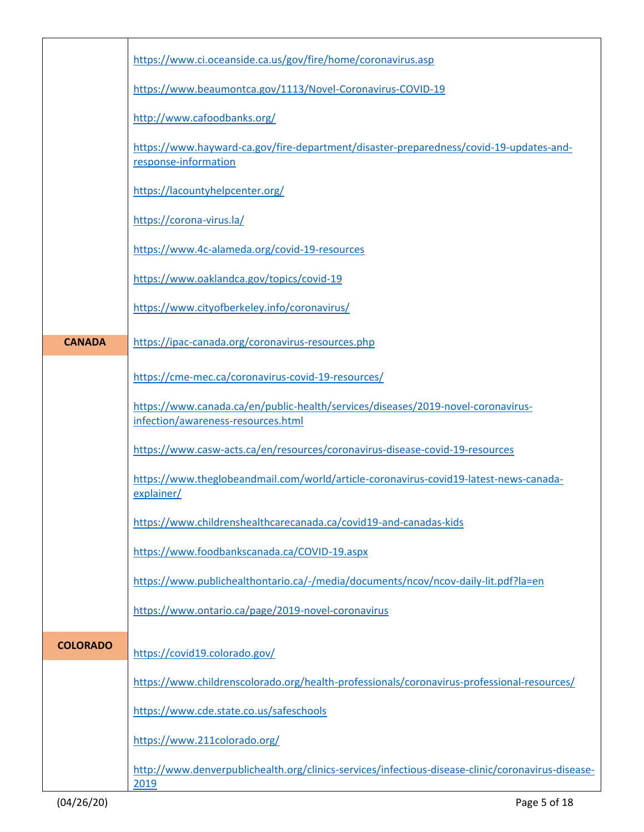|                 | https://www.ci.oceanside.ca.us/gov/fire/home/coronavirus.asp                                                           |
|-----------------|------------------------------------------------------------------------------------------------------------------------|
|                 | https://www.beaumontca.gov/1113/Novel-Coronavirus-COVID-19                                                             |
|                 | http://www.cafoodbanks.org/                                                                                            |
|                 | https://www.hayward-ca.gov/fire-department/disaster-preparedness/covid-19-updates-and-<br>response-information         |
|                 | https://lacountyhelpcenter.org/                                                                                        |
|                 | https://corona-virus.la/                                                                                               |
|                 | https://www.4c-alameda.org/covid-19-resources                                                                          |
|                 | https://www.oaklandca.gov/topics/covid-19                                                                              |
|                 | https://www.cityofberkeley.info/coronavirus/                                                                           |
| <b>CANADA</b>   | https://ipac-canada.org/coronavirus-resources.php                                                                      |
|                 | https://cme-mec.ca/coronavirus-covid-19-resources/                                                                     |
|                 | https://www.canada.ca/en/public-health/services/diseases/2019-novel-coronavirus-<br>infection/awareness-resources.html |
|                 | https://www.casw-acts.ca/en/resources/coronavirus-disease-covid-19-resources                                           |
|                 | https://www.theglobeandmail.com/world/article-coronavirus-covid19-latest-news-canada-<br>explainer/                    |
|                 | https://www.childrenshealthcarecanada.ca/covid19-and-canadas-kids                                                      |
|                 | https://www.foodbankscanada.ca/COVID-19.aspx                                                                           |
|                 | https://www.publichealthontario.ca/-/media/documents/ncov/ncov-daily-lit.pdf?la=en                                     |
|                 | https://www.ontario.ca/page/2019-novel-coronavirus                                                                     |
| <b>COLORADO</b> | https://covid19.colorado.gov/                                                                                          |
|                 | https://www.childrenscolorado.org/health-professionals/coronavirus-professional-resources/                             |
|                 | https://www.cde.state.co.us/safeschools                                                                                |
|                 | https://www.211colorado.org/                                                                                           |
|                 | http://www.denverpublichealth.org/clinics-services/infectious-disease-clinic/coronavirus-disease-<br>2019              |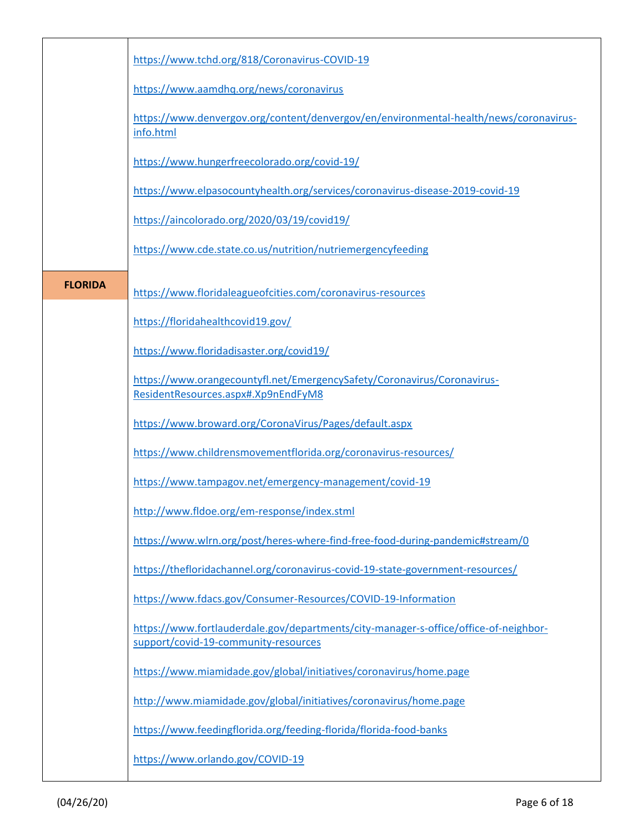|                | https://www.tchd.org/818/Coronavirus-COVID-19                                                                                |
|----------------|------------------------------------------------------------------------------------------------------------------------------|
|                | https://www.aamdhq.org/news/coronavirus                                                                                      |
|                | https://www.denvergov.org/content/denvergov/en/environmental-health/news/coronavirus-<br>info.html                           |
|                | https://www.hungerfreecolorado.org/covid-19/                                                                                 |
|                | https://www.elpasocountyhealth.org/services/coronavirus-disease-2019-covid-19                                                |
|                | https://aincolorado.org/2020/03/19/covid19/                                                                                  |
|                | https://www.cde.state.co.us/nutrition/nutriemergencyfeeding                                                                  |
| <b>FLORIDA</b> | https://www.floridaleagueofcities.com/coronavirus-resources                                                                  |
|                | https://floridahealthcovid19.gov/                                                                                            |
|                | https://www.floridadisaster.org/covid19/                                                                                     |
|                | https://www.orangecountyfl.net/EmergencySafety/Coronavirus/Coronavirus-<br>ResidentResources.aspx#.Xp9nEndFyM8               |
|                | https://www.broward.org/CoronaVirus/Pages/default.aspx                                                                       |
|                | https://www.childrensmovementflorida.org/coronavirus-resources/                                                              |
|                | https://www.tampagov.net/emergency-management/covid-19                                                                       |
|                | http://www.fldoe.org/em-response/index.stml                                                                                  |
|                | https://www.wlrn.org/post/heres-where-find-free-food-during-pandemic#stream/0                                                |
|                | https://thefloridachannel.org/coronavirus-covid-19-state-government-resources/                                               |
|                | https://www.fdacs.gov/Consumer-Resources/COVID-19-Information                                                                |
|                | https://www.fortlauderdale.gov/departments/city-manager-s-office/office-of-neighbor-<br>support/covid-19-community-resources |
|                | https://www.miamidade.gov/global/initiatives/coronavirus/home.page                                                           |
|                | http://www.miamidade.gov/global/initiatives/coronavirus/home.page                                                            |
|                | https://www.feedingflorida.org/feeding-florida/florida-food-banks                                                            |
|                | https://www.orlando.gov/COVID-19                                                                                             |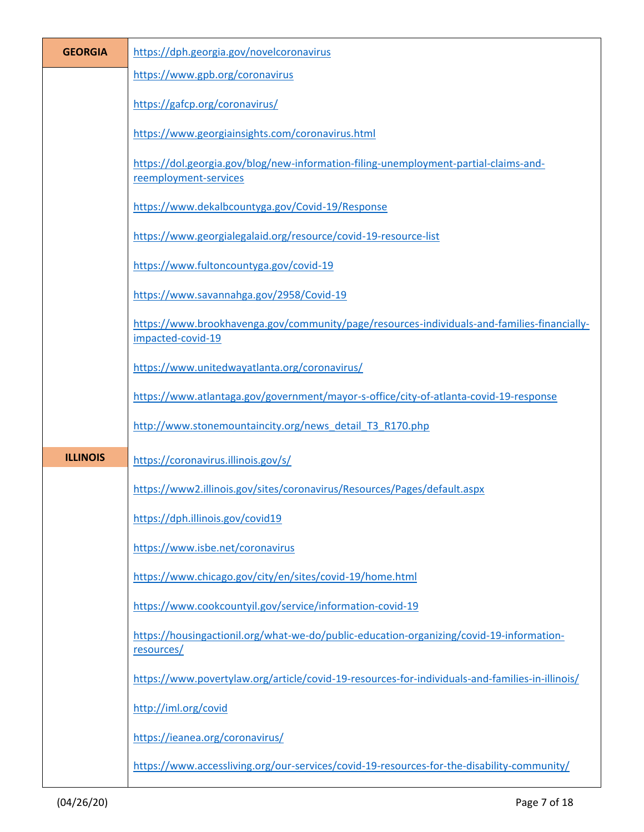| <b>GEORGIA</b>  | https://dph.georgia.gov/novelcoronavirus                                                                         |
|-----------------|------------------------------------------------------------------------------------------------------------------|
|                 | https://www.gpb.org/coronavirus                                                                                  |
|                 | https://gafcp.org/coronavirus/                                                                                   |
|                 | https://www.georgiainsights.com/coronavirus.html                                                                 |
|                 | https://dol.georgia.gov/blog/new-information-filing-unemployment-partial-claims-and-<br>reemployment-services    |
|                 | https://www.dekalbcountyga.gov/Covid-19/Response                                                                 |
|                 | https://www.georgialegalaid.org/resource/covid-19-resource-list                                                  |
|                 | https://www.fultoncountyga.gov/covid-19                                                                          |
|                 | https://www.savannahga.gov/2958/Covid-19                                                                         |
|                 | https://www.brookhavenga.gov/community/page/resources-individuals-and-families-financially-<br>impacted-covid-19 |
|                 | https://www.unitedwayatlanta.org/coronavirus/                                                                    |
|                 | https://www.atlantaga.gov/government/mayor-s-office/city-of-atlanta-covid-19-response                            |
|                 | http://www.stonemountaincity.org/news detail T3 R170.php                                                         |
| <b>ILLINOIS</b> | https://coronavirus.illinois.gov/s/                                                                              |
|                 | https://www2.illinois.gov/sites/coronavirus/Resources/Pages/default.aspx                                         |
|                 | https://dph.illinois.gov/covid19                                                                                 |
|                 | https://www.isbe.net/coronavirus                                                                                 |
|                 | https://www.chicago.gov/city/en/sites/covid-19/home.html                                                         |
|                 | https://www.cookcountyil.gov/service/information-covid-19                                                        |
|                 |                                                                                                                  |
|                 | https://housingactionil.org/what-we-do/public-education-organizing/covid-19-information-<br>resources/           |
|                 | https://www.povertylaw.org/article/covid-19-resources-for-individuals-and-families-in-illinois/                  |
|                 | http://iml.org/covid                                                                                             |
|                 | https://ieanea.org/coronavirus/                                                                                  |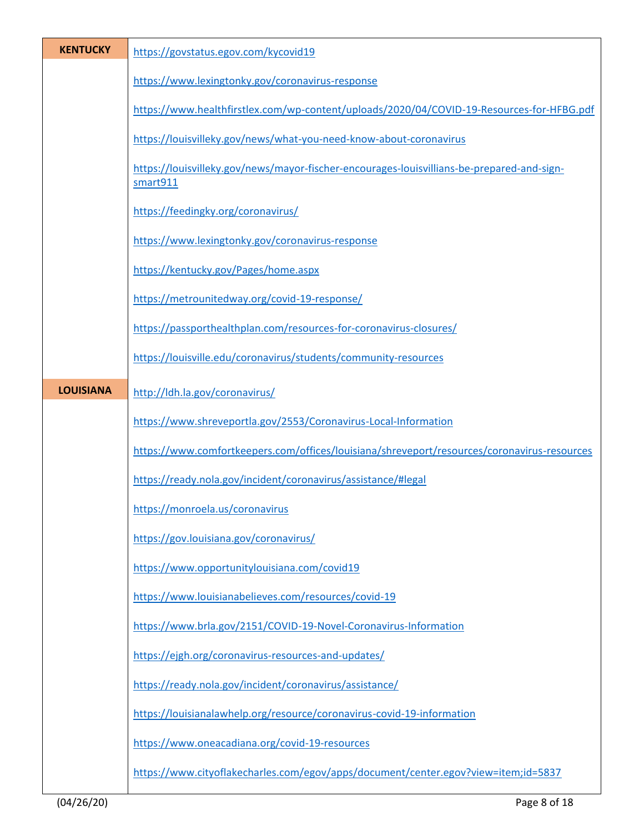| <b>KENTUCKY</b>  | https://govstatus.egov.com/kycovid19                                                                   |
|------------------|--------------------------------------------------------------------------------------------------------|
|                  | https://www.lexingtonky.gov/coronavirus-response                                                       |
|                  | https://www.healthfirstlex.com/wp-content/uploads/2020/04/COVID-19-Resources-for-HFBG.pdf              |
|                  | https://louisvilleky.gov/news/what-you-need-know-about-coronavirus                                     |
|                  | https://louisvilleky.gov/news/mayor-fischer-encourages-louisvillians-be-prepared-and-sign-<br>smart911 |
|                  | https://feedingky.org/coronavirus/                                                                     |
|                  | https://www.lexingtonky.gov/coronavirus-response                                                       |
|                  | https://kentucky.gov/Pages/home.aspx                                                                   |
|                  | https://metrounitedway.org/covid-19-response/                                                          |
|                  | https://passporthealthplan.com/resources-for-coronavirus-closures/                                     |
|                  | https://louisville.edu/coronavirus/students/community-resources                                        |
| <b>LOUISIANA</b> | http://ldh.la.gov/coronavirus/                                                                         |
|                  | https://www.shreveportla.gov/2553/Coronavirus-Local-Information                                        |
|                  | https://www.comfortkeepers.com/offices/louisiana/shreveport/resources/coronavirus-resources            |
|                  | https://ready.nola.gov/incident/coronavirus/assistance/#legal                                          |
|                  | https://monroela.us/coronavirus                                                                        |
|                  | https://gov.louisiana.gov/coronavirus/                                                                 |
|                  | https://www.opportunitylouisiana.com/covid19                                                           |
|                  | https://www.louisianabelieves.com/resources/covid-19                                                   |
|                  | https://www.brla.gov/2151/COVID-19-Novel-Coronavirus-Information                                       |
|                  | https://ejgh.org/coronavirus-resources-and-updates/                                                    |
|                  | https://ready.nola.gov/incident/coronavirus/assistance/                                                |
|                  | https://louisianalawhelp.org/resource/coronavirus-covid-19-information                                 |
|                  | https://www.oneacadiana.org/covid-19-resources                                                         |
|                  | https://www.cityoflakecharles.com/egov/apps/document/center.egov?view=item;id=5837                     |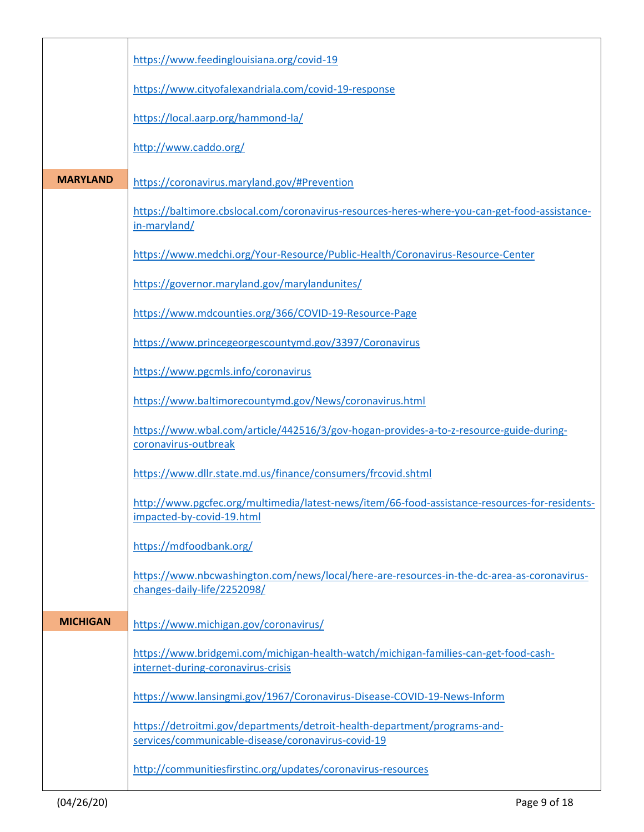|                 | https://www.feedinglouisiana.org/covid-19                                                                                       |
|-----------------|---------------------------------------------------------------------------------------------------------------------------------|
|                 | https://www.cityofalexandriala.com/covid-19-response                                                                            |
|                 | https://local.aarp.org/hammond-la/                                                                                              |
|                 | http://www.caddo.org/                                                                                                           |
| <b>MARYLAND</b> | https://coronavirus.maryland.gov/#Prevention                                                                                    |
|                 | https://baltimore.cbslocal.com/coronavirus-resources-heres-where-you-can-get-food-assistance-<br>in-maryland/                   |
|                 | https://www.medchi.org/Your-Resource/Public-Health/Coronavirus-Resource-Center                                                  |
|                 | https://governor.maryland.gov/marylandunites/                                                                                   |
|                 | https://www.mdcounties.org/366/COVID-19-Resource-Page                                                                           |
|                 | https://www.princegeorgescountymd.gov/3397/Coronavirus                                                                          |
|                 | https://www.pgcmls.info/coronavirus                                                                                             |
|                 | https://www.baltimorecountymd.gov/News/coronavirus.html                                                                         |
|                 | https://www.wbal.com/article/442516/3/gov-hogan-provides-a-to-z-resource-guide-during-<br>coronavirus-outbreak                  |
|                 | https://www.dllr.state.md.us/finance/consumers/frcovid.shtml                                                                    |
|                 | http://www.pgcfec.org/multimedia/latest-news/item/66-food-assistance-resources-for-residents-<br>impacted-by-covid-19.html      |
|                 | https://mdfoodbank.org/                                                                                                         |
|                 | https://www.nbcwashington.com/news/local/here-are-resources-in-the-dc-area-as-coronavirus-<br>changes-daily-life/2252098/       |
| <b>MICHIGAN</b> | https://www.michigan.gov/coronavirus/                                                                                           |
|                 | https://www.bridgemi.com/michigan-health-watch/michigan-families-can-get-food-cash-<br>internet-during-coronavirus-crisis       |
|                 | https://www.lansingmi.gov/1967/Coronavirus-Disease-COVID-19-News-Inform                                                         |
|                 | https://detroitmi.gov/departments/detroit-health-department/programs-and-<br>services/communicable-disease/coronavirus-covid-19 |
|                 | http://communitiesfirstinc.org/updates/coronavirus-resources                                                                    |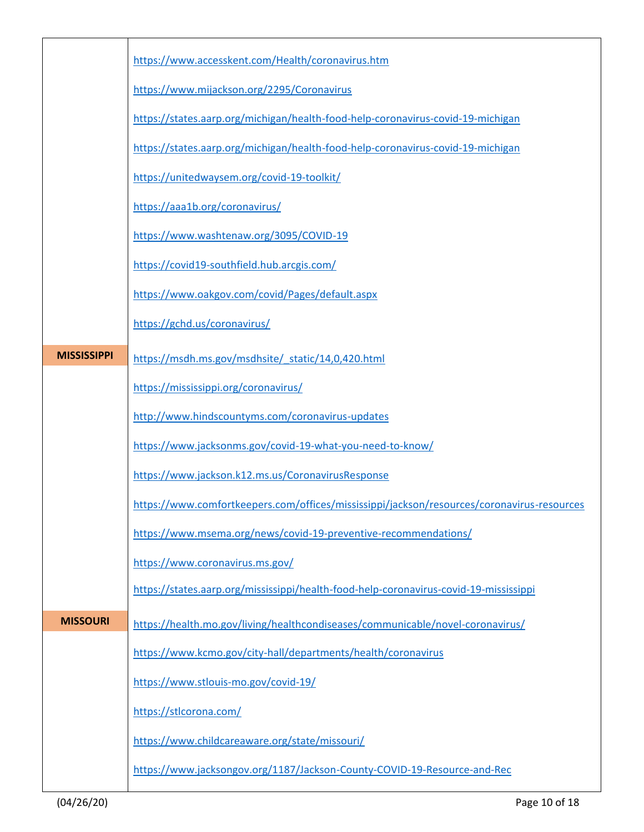|                    | https://www.accesskent.com/Health/coronavirus.htm                                          |
|--------------------|--------------------------------------------------------------------------------------------|
|                    | https://www.mijackson.org/2295/Coronavirus                                                 |
|                    | https://states.aarp.org/michigan/health-food-help-coronavirus-covid-19-michigan            |
|                    | https://states.aarp.org/michigan/health-food-help-coronavirus-covid-19-michigan            |
|                    | https://unitedwaysem.org/covid-19-toolkit/                                                 |
|                    | https://aaa1b.org/coronavirus/                                                             |
|                    | https://www.washtenaw.org/3095/COVID-19                                                    |
|                    | https://covid19-southfield.hub.arcgis.com/                                                 |
|                    | https://www.oakgov.com/covid/Pages/default.aspx                                            |
|                    | https://gchd.us/coronavirus/                                                               |
| <b>MISSISSIPPI</b> | https://msdh.ms.gov/msdhsite/ static/14,0,420.html                                         |
|                    | https://mississippi.org/coronavirus/                                                       |
|                    | http://www.hindscountyms.com/coronavirus-updates                                           |
|                    | https://www.jacksonms.gov/covid-19-what-you-need-to-know/                                  |
|                    | https://www.jackson.k12.ms.us/CoronavirusResponse                                          |
|                    | https://www.comfortkeepers.com/offices/mississippi/jackson/resources/coronavirus-resources |
|                    | https://www.msema.org/news/covid-19-preventive-recommendations/                            |
|                    | https://www.coronavirus.ms.gov/                                                            |
|                    | https://states.aarp.org/mississippi/health-food-help-coronavirus-covid-19-mississippi      |
| <b>MISSOURI</b>    | https://health.mo.gov/living/healthcondiseases/communicable/novel-coronavirus/             |
|                    | https://www.kcmo.gov/city-hall/departments/health/coronavirus                              |
|                    | https://www.stlouis-mo.gov/covid-19/                                                       |
|                    | https://stlcorona.com/                                                                     |
|                    | https://www.childcareaware.org/state/missouri/                                             |
|                    | https://www.jacksongov.org/1187/Jackson-County-COVID-19-Resource-and-Rec                   |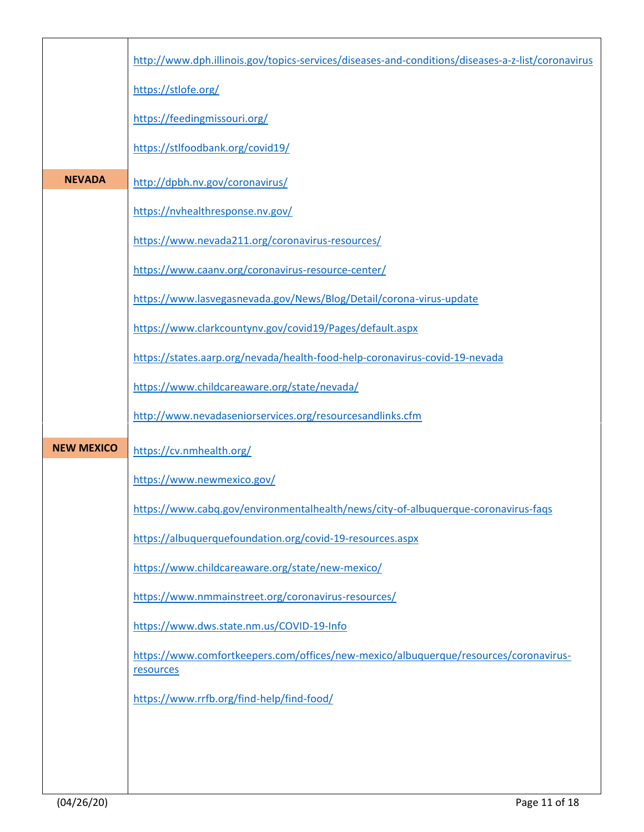|                   | http://www.dph.illinois.gov/topics-services/diseases-and-conditions/diseases-a-z-list/coronavirus |
|-------------------|---------------------------------------------------------------------------------------------------|
|                   | https://stlofe.org/                                                                               |
|                   | https://feedingmissouri.org/                                                                      |
|                   | https://stlfoodbank.org/covid19/                                                                  |
| <b>NEVADA</b>     | http://dpbh.nv.gov/coronavirus/                                                                   |
|                   | https://nvhealthresponse.nv.gov/                                                                  |
|                   | https://www.nevada211.org/coronavirus-resources/                                                  |
|                   | https://www.caanv.org/coronavirus-resource-center/                                                |
|                   | https://www.lasvegasnevada.gov/News/Blog/Detail/corona-virus-update                               |
|                   | https://www.clarkcountynv.gov/covid19/Pages/default.aspx                                          |
|                   | https://states.aarp.org/nevada/health-food-help-coronavirus-covid-19-nevada                       |
|                   | https://www.childcareaware.org/state/nevada/                                                      |
|                   | http://www.nevadaseniorservices.org/resourcesandlinks.cfm                                         |
| <b>NEW MEXICO</b> | https://cv.nmhealth.org/                                                                          |
|                   | https://www.newmexico.gov/                                                                        |
|                   | https://www.cabq.gov/environmentalhealth/news/city-of-albuquerque-coronavirus-faqs                |
|                   | https://albuquerquefoundation.org/covid-19-resources.aspx                                         |
|                   | https://www.childcareaware.org/state/new-mexico/                                                  |
|                   | https://www.nmmainstreet.org/coronavirus-resources/                                               |
|                   | https://www.dws.state.nm.us/COVID-19-Info                                                         |
|                   | https://www.comfortkeepers.com/offices/new-mexico/albuquerque/resources/coronavirus-<br>resources |
|                   | https://www.rrfb.org/find-help/find-food/                                                         |
|                   |                                                                                                   |
|                   |                                                                                                   |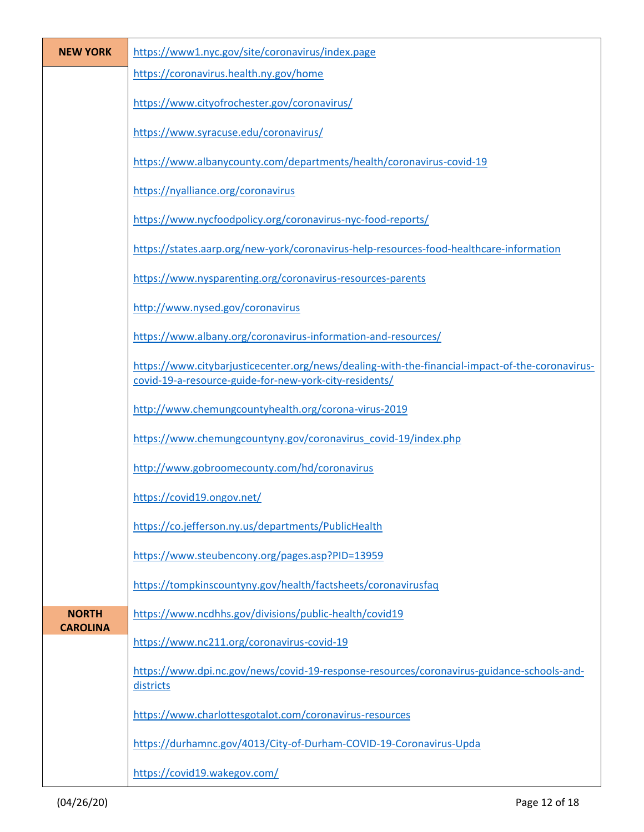| <b>NEW YORK</b> | https://www1.nyc.gov/site/coronavirus/index.page                                                                                                          |
|-----------------|-----------------------------------------------------------------------------------------------------------------------------------------------------------|
|                 | https://coronavirus.health.ny.gov/home                                                                                                                    |
|                 | https://www.cityofrochester.gov/coronavirus/                                                                                                              |
|                 | https://www.syracuse.edu/coronavirus/                                                                                                                     |
|                 | https://www.albanycounty.com/departments/health/coronavirus-covid-19                                                                                      |
|                 | https://nyalliance.org/coronavirus                                                                                                                        |
|                 | https://www.nycfoodpolicy.org/coronavirus-nyc-food-reports/                                                                                               |
|                 | https://states.aarp.org/new-york/coronavirus-help-resources-food-healthcare-information                                                                   |
|                 | https://www.nysparenting.org/coronavirus-resources-parents                                                                                                |
|                 | http://www.nysed.gov/coronavirus                                                                                                                          |
|                 | https://www.albany.org/coronavirus-information-and-resources/                                                                                             |
|                 | https://www.citybarjusticecenter.org/news/dealing-with-the-financial-impact-of-the-coronavirus-<br>covid-19-a-resource-guide-for-new-york-city-residents/ |
|                 | http://www.chemungcountyhealth.org/corona-virus-2019                                                                                                      |
|                 | https://www.chemungcountyny.gov/coronavirus_covid-19/index.php                                                                                            |
|                 | http://www.gobroomecounty.com/hd/coronavirus                                                                                                              |
|                 | https://covid19.ongov.net/                                                                                                                                |
|                 | https://co.jefferson.ny.us/departments/PublicHealth                                                                                                       |
|                 | https://www.steubencony.org/pages.asp?PID=13959                                                                                                           |
|                 | https://tompkinscountyny.gov/health/factsheets/coronavirusfaq                                                                                             |
| <b>NORTH</b>    | https://www.ncdhhs.gov/divisions/public-health/covid19                                                                                                    |
| <b>CAROLINA</b> | https://www.nc211.org/coronavirus-covid-19                                                                                                                |
|                 | https://www.dpi.nc.gov/news/covid-19-response-resources/coronavirus-guidance-schools-and-<br>districts                                                    |
|                 | https://www.charlottesgotalot.com/coronavirus-resources                                                                                                   |
|                 | https://durhamnc.gov/4013/City-of-Durham-COVID-19-Coronavirus-Upda                                                                                        |
|                 | https://covid19.wakegov.com/                                                                                                                              |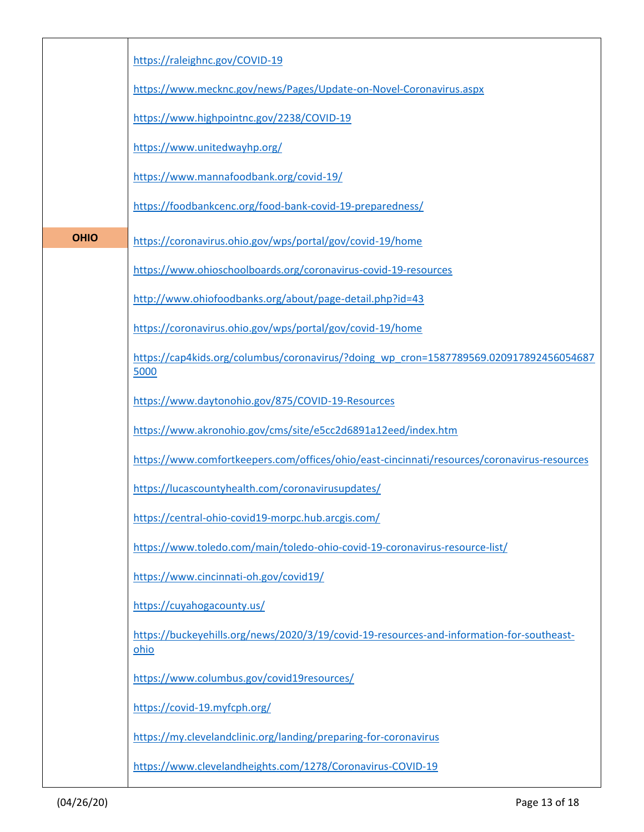|             | https://raleighnc.gov/COVID-19                                                                    |
|-------------|---------------------------------------------------------------------------------------------------|
|             | https://www.mecknc.gov/news/Pages/Update-on-Novel-Coronavirus.aspx                                |
|             | https://www.highpointnc.gov/2238/COVID-19                                                         |
|             | https://www.unitedwayhp.org/                                                                      |
|             | https://www.mannafoodbank.org/covid-19/                                                           |
|             | https://foodbankcenc.org/food-bank-covid-19-preparedness/                                         |
| <b>OHIO</b> | https://coronavirus.ohio.gov/wps/portal/gov/covid-19/home                                         |
|             | https://www.ohioschoolboards.org/coronavirus-covid-19-resources                                   |
|             | http://www.ohiofoodbanks.org/about/page-detail.php?id=43                                          |
|             | https://coronavirus.ohio.gov/wps/portal/gov/covid-19/home                                         |
|             | https://cap4kids.org/columbus/coronavirus/?doing_wp_cron=1587789569.020917892456054687<br>5000    |
|             | https://www.daytonohio.gov/875/COVID-19-Resources                                                 |
|             | https://www.akronohio.gov/cms/site/e5cc2d6891a12eed/index.htm                                     |
|             | https://www.comfortkeepers.com/offices/ohio/east-cincinnati/resources/coronavirus-resources       |
|             | https://lucascountyhealth.com/coronavirusupdates/                                                 |
|             | https://central-ohio-covid19-morpc.hub.arcgis.com/                                                |
|             | https://www.toledo.com/main/toledo-ohio-covid-19-coronavirus-resource-list/                       |
|             | https://www.cincinnati-oh.gov/covid19/                                                            |
|             | https://cuyahogacounty.us/                                                                        |
|             | https://buckeyehills.org/news/2020/3/19/covid-19-resources-and-information-for-southeast-<br>ohio |
|             | https://www.columbus.gov/covid19resources/                                                        |
|             | https://covid-19.myfcph.org/                                                                      |
|             | https://my.clevelandclinic.org/landing/preparing-for-coronavirus                                  |
|             | https://www.clevelandheights.com/1278/Coronavirus-COVID-19                                        |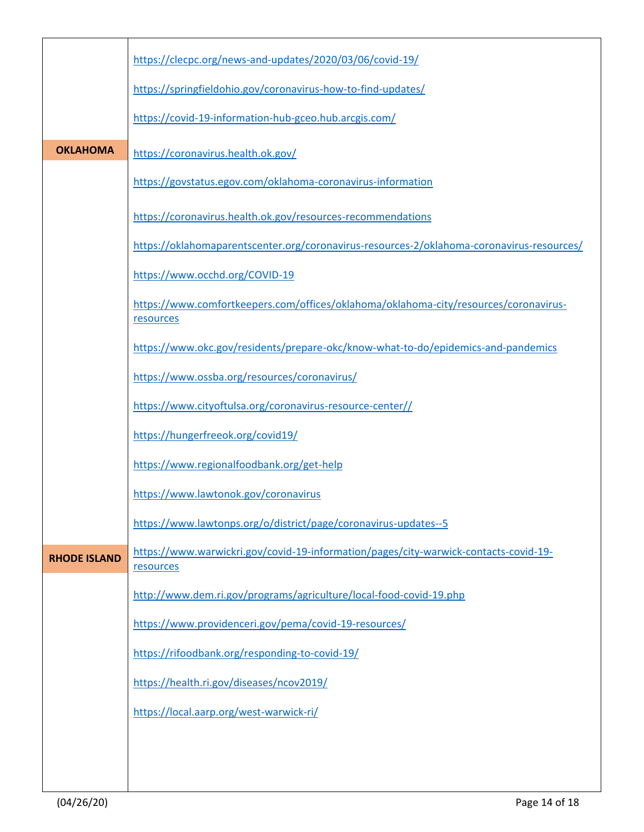|                     | https://clecpc.org/news-and-updates/2020/03/06/covid-19/                                          |
|---------------------|---------------------------------------------------------------------------------------------------|
|                     | https://springfieldohio.gov/coronavirus-how-to-find-updates/                                      |
|                     | https://covid-19-information-hub-gceo.hub.arcgis.com/                                             |
| <b>OKLAHOMA</b>     | https://coronavirus.health.ok.gov/                                                                |
|                     | https://govstatus.egov.com/oklahoma-coronavirus-information                                       |
|                     | https://coronavirus.health.ok.gov/resources-recommendations                                       |
|                     | https://oklahomaparentscenter.org/coronavirus-resources-2/oklahoma-coronavirus-resources/         |
|                     | https://www.occhd.org/COVID-19                                                                    |
|                     | https://www.comfortkeepers.com/offices/oklahoma/oklahoma-city/resources/coronavirus-<br>resources |
|                     | https://www.okc.gov/residents/prepare-okc/know-what-to-do/epidemics-and-pandemics                 |
|                     | https://www.ossba.org/resources/coronavirus/                                                      |
|                     | https://www.cityoftulsa.org/coronavirus-resource-center//                                         |
|                     | https://hungerfreeok.org/covid19/                                                                 |
|                     | https://www.regionalfoodbank.org/get-help                                                         |
|                     | https://www.lawtonok.gov/coronavirus                                                              |
|                     | https://www.lawtonps.org/o/district/page/coronavirus-updates--5                                   |
| <b>RHODE ISLAND</b> | https://www.warwickri.gov/covid-19-information/pages/city-warwick-contacts-covid-19-<br>resources |
|                     | http://www.dem.ri.gov/programs/agriculture/local-food-covid-19.php                                |
|                     | https://www.providenceri.gov/pema/covid-19-resources/                                             |
|                     | https://rifoodbank.org/responding-to-covid-19/                                                    |
|                     | https://health.ri.gov/diseases/ncov2019/                                                          |
|                     | https://local.aarp.org/west-warwick-ri/                                                           |
|                     |                                                                                                   |
|                     |                                                                                                   |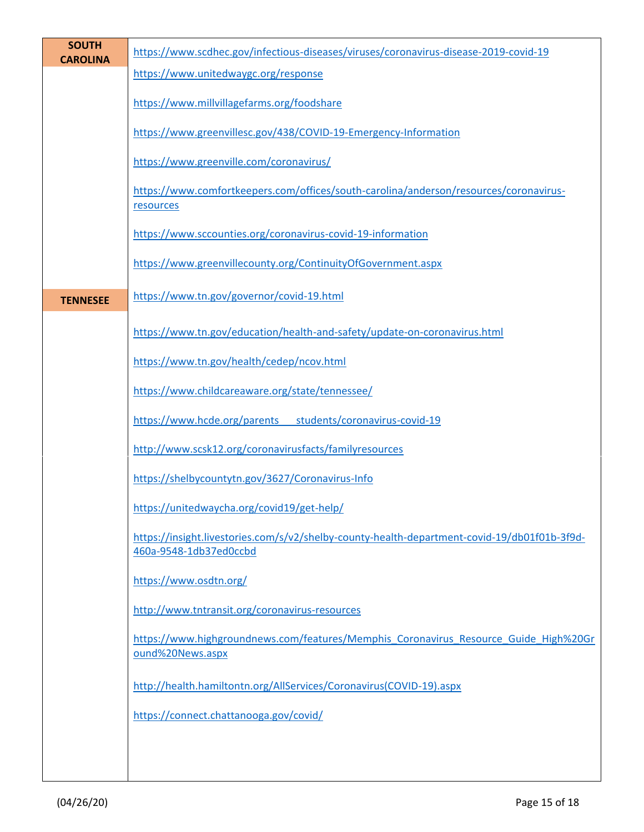| <b>SOUTH</b><br><b>CAROLINA</b> | https://www.scdhec.gov/infectious-diseases/viruses/coronavirus-disease-2019-covid-19                                   |
|---------------------------------|------------------------------------------------------------------------------------------------------------------------|
|                                 | https://www.unitedwaygc.org/response                                                                                   |
|                                 | https://www.millvillagefarms.org/foodshare                                                                             |
|                                 | https://www.greenvillesc.gov/438/COVID-19-Emergency-Information                                                        |
|                                 | https://www.greenville.com/coronavirus/                                                                                |
|                                 | https://www.comfortkeepers.com/offices/south-carolina/anderson/resources/coronavirus-<br>resources                     |
|                                 | https://www.sccounties.org/coronavirus-covid-19-information                                                            |
|                                 | https://www.greenvillecounty.org/ContinuityOfGovernment.aspx                                                           |
| <b>TENNESEE</b>                 | https://www.tn.gov/governor/covid-19.html                                                                              |
|                                 | https://www.tn.gov/education/health-and-safety/update-on-coronavirus.html                                              |
|                                 | https://www.tn.gov/health/cedep/ncov.html                                                                              |
|                                 | https://www.childcareaware.org/state/tennessee/                                                                        |
|                                 | https://www.hcde.org/parents students/coronavirus-covid-19                                                             |
|                                 | http://www.scsk12.org/coronavirusfacts/familyresources                                                                 |
|                                 | https://shelbycountytn.gov/3627/Coronavirus-Info                                                                       |
|                                 | https://unitedwaycha.org/covid19/get-help/                                                                             |
|                                 | https://insight.livestories.com/s/v2/shelby-county-health-department-covid-19/db01f01b-3f9d-<br>460a-9548-1db37ed0ccbd |
|                                 | https://www.osdtn.org/                                                                                                 |
|                                 | http://www.tntransit.org/coronavirus-resources                                                                         |
|                                 | https://www.highgroundnews.com/features/Memphis Coronavirus Resource Guide High%20Gr<br>ound%20News.aspx               |
|                                 | http://health.hamiltontn.org/AllServices/Coronavirus(COVID-19).aspx                                                    |
|                                 | https://connect.chattanooga.gov/covid/                                                                                 |
|                                 |                                                                                                                        |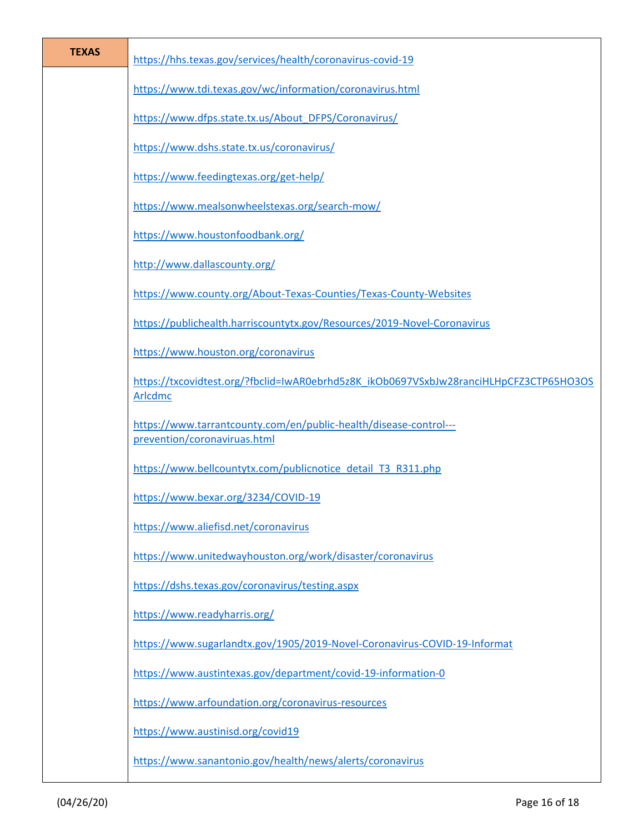| <b>TEXAS</b> | https://hhs.texas.gov/services/health/coronavirus-covid-19                                               |
|--------------|----------------------------------------------------------------------------------------------------------|
|              | https://www.tdi.texas.gov/wc/information/coronavirus.html                                                |
|              | https://www.dfps.state.tx.us/About DFPS/Coronavirus/                                                     |
|              | https://www.dshs.state.tx.us/coronavirus/                                                                |
|              | https://www.feedingtexas.org/get-help/                                                                   |
|              | https://www.mealsonwheelstexas.org/search-mow/                                                           |
|              | https://www.houstonfoodbank.org/                                                                         |
|              | http://www.dallascounty.org/                                                                             |
|              | https://www.county.org/About-Texas-Counties/Texas-County-Websites                                        |
|              | https://publichealth.harriscountytx.gov/Resources/2019-Novel-Coronavirus                                 |
|              | https://www.houston.org/coronavirus                                                                      |
|              | https://txcovidtest.org/?fbclid=IwAR0ebrhd5z8K_ikOb0697VSxbJw28ranciHLHpCFZ3CTP65HO3OS<br><b>Arlcdmc</b> |
|              | https://www.tarrantcounty.com/en/public-health/disease-control---<br>prevention/coronaviruas.html        |
|              | https://www.bellcountytx.com/publicnotice_detail_T3_R311.php                                             |
|              | https://www.bexar.org/3234/COVID-19                                                                      |
|              | https://www.aliefisd.net/coronavirus                                                                     |
|              | https://www.unitedwayhouston.org/work/disaster/coronavirus                                               |
|              | https://dshs.texas.gov/coronavirus/testing.aspx                                                          |
|              | https://www.readyharris.org/                                                                             |
|              | https://www.sugarlandtx.gov/1905/2019-Novel-Coronavirus-COVID-19-Informat                                |
|              | https://www.austintexas.gov/department/covid-19-information-0                                            |
|              | https://www.arfoundation.org/coronavirus-resources                                                       |
|              | https://www.austinisd.org/covid19                                                                        |
|              | https://www.sanantonio.gov/health/news/alerts/coronavirus                                                |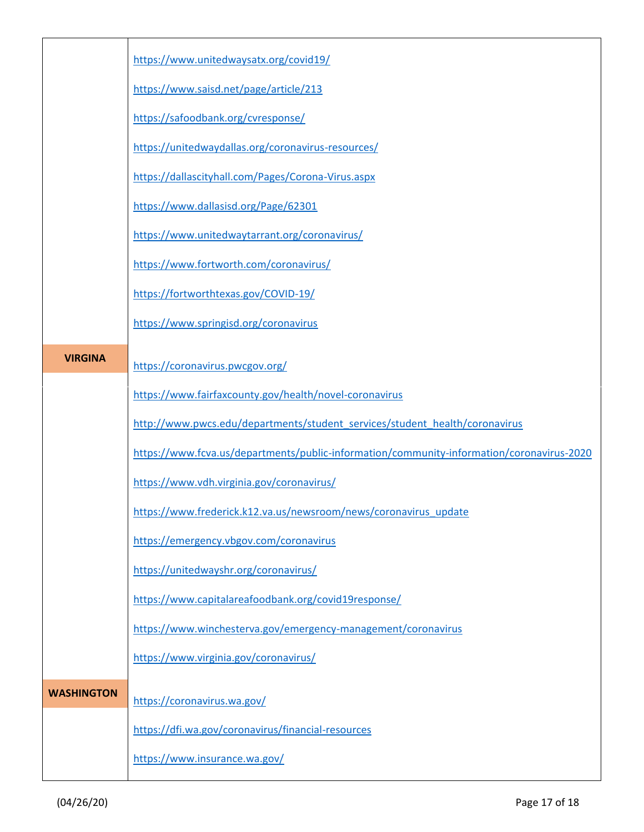|                   | https://www.unitedwaysatx.org/covid19/                                                    |
|-------------------|-------------------------------------------------------------------------------------------|
|                   | https://www.saisd.net/page/article/213                                                    |
|                   | https://safoodbank.org/cvresponse/                                                        |
|                   | https://unitedwaydallas.org/coronavirus-resources/                                        |
|                   | https://dallascityhall.com/Pages/Corona-Virus.aspx                                        |
|                   | https://www.dallasisd.org/Page/62301                                                      |
|                   | https://www.unitedwaytarrant.org/coronavirus/                                             |
|                   | https://www.fortworth.com/coronavirus/                                                    |
|                   | https://fortworthtexas.gov/COVID-19/                                                      |
|                   | https://www.springisd.org/coronavirus                                                     |
| <b>VIRGINA</b>    | https://coronavirus.pwcgov.org/                                                           |
|                   | https://www.fairfaxcounty.gov/health/novel-coronavirus                                    |
|                   | http://www.pwcs.edu/departments/student_services/student_health/coronavirus               |
|                   | https://www.fcva.us/departments/public-information/community-information/coronavirus-2020 |
|                   | https://www.vdh.virginia.gov/coronavirus/                                                 |
|                   | https://www.frederick.k12.va.us/newsroom/news/coronavirus_update                          |
|                   | https://emergency.vbgov.com/coronavirus                                                   |
|                   | https://unitedwayshr.org/coronavirus/                                                     |
|                   | https://www.capitalareafoodbank.org/covid19response/                                      |
|                   | https://www.winchesterva.gov/emergency-management/coronavirus                             |
|                   | https://www.virginia.gov/coronavirus/                                                     |
| <b>WASHINGTON</b> | https://coronavirus.wa.gov/                                                               |
|                   | https://dfi.wa.gov/coronavirus/financial-resources                                        |
|                   | https://www.insurance.wa.gov/                                                             |